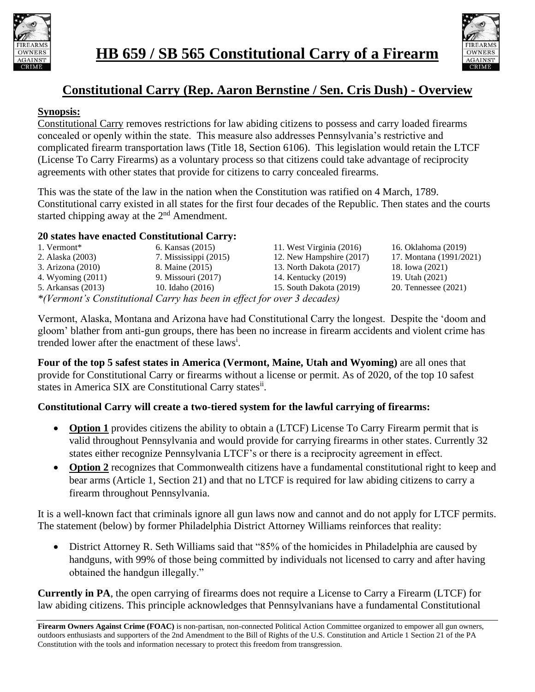



## **Constitutional Carry (Rep. Aaron Bernstine / Sen. Cris Dush) - Overview**

## **Synopsis:**

Constitutional Carry removes restrictions for law abiding citizens to possess and carry loaded firearms concealed or openly within the state. This measure also addresses Pennsylvania's restrictive and complicated firearm transportation laws (Title 18, Section 6106). This legislation would retain the LTCF (License To Carry Firearms) as a voluntary process so that citizens could take advantage of reciprocity agreements with other states that provide for citizens to carry concealed firearms.

This was the state of the law in the nation when the Constitution was ratified on 4 March, 1789. Constitutional carry existed in all states for the first four decades of the Republic. Then states and the courts started chipping away at the  $2<sup>nd</sup>$  Amendment.

## **20 states have enacted Constitutional Carry:**

| 1. Vermont*                                                             | 6. Kansas (2015)      | 11. West Virginia (2016) | 16. Oklahoma (2019)     |
|-------------------------------------------------------------------------|-----------------------|--------------------------|-------------------------|
| 2. Alaska (2003)                                                        | 7. Mississippi (2015) | 12. New Hampshire (2017) | 17. Montana (1991/2021) |
| 3. Arizona (2010)                                                       | 8. Maine (2015)       | 13. North Dakota (2017)  | 18. Iowa (2021)         |
| 4. Wyoming (2011)                                                       | 9. Missouri (2017)    | 14. Kentucky (2019)      | 19. Utah (2021)         |
| 5. Arkansas (2013)                                                      | 10. Idaho (2016)      | 15. South Dakota (2019)  | 20. Tennessee (2021)    |
| *(Vermont's Constitutional Carry has been in effect for over 3 decades) |                       |                          |                         |

Vermont, Alaska, Montana and Arizona have had Constitutional Carry the longest. Despite the 'doom and gloom' blather from anti-gun groups, there has been no increase in firearm accidents and violent crime has trended lower after the enactment of these laws<sup>i</sup>.

**Four of the top 5 safest states in America (Vermont, Maine, Utah and Wyoming)** are all ones that provide for Constitutional Carry or firearms without a license or permit. As of 2020, of the top 10 safest states in America SIX are Constitutional Carry states<sup>ii</sup>.

## **Constitutional Carry will create a two-tiered system for the lawful carrying of firearms:**

- **Option 1** provides citizens the ability to obtain a (LTCF) License To Carry Firearm permit that is valid throughout Pennsylvania and would provide for carrying firearms in other states. Currently 32 states either recognize Pennsylvania LTCF's or there is a reciprocity agreement in effect.
- **Option 2** recognizes that Commonwealth citizens have a fundamental constitutional right to keep and bear arms (Article 1, Section 21) and that no LTCF is required for law abiding citizens to carry a firearm throughout Pennsylvania.

It is a well-known fact that criminals ignore all gun laws now and cannot and do not apply for LTCF permits. The statement (below) by former Philadelphia District Attorney Williams reinforces that reality:

• District Attorney R. Seth Williams said that "85% of the homicides in Philadelphia are caused by handguns, with 99% of those being committed by individuals not licensed to carry and after having obtained the handgun illegally."

**Currently in PA**, the open carrying of firearms does not require a License to Carry a Firearm (LTCF) for law abiding citizens. This principle acknowledges that Pennsylvanians have a fundamental Constitutional

**Firearm Owners Against Crime (FOAC)** is non-partisan, non-connected Political Action Committee organized to empower all gun owners, outdoors enthusiasts and supporters of the 2nd Amendment to the Bill of Rights of the U.S. Constitution and Article 1 Section 21 of the PA Constitution with the tools and information necessary to protect this freedom from transgression.